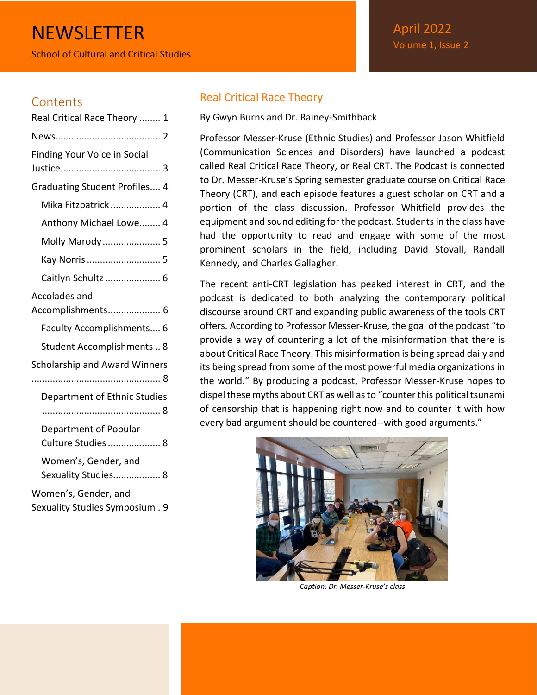# **NEWSLETTER**

School of Cultural and Critical Studies

# **Contents**

| Real Critical Race Theory  1                            |  |  |
|---------------------------------------------------------|--|--|
|                                                         |  |  |
| <b>Finding Your Voice in Social</b>                     |  |  |
| <b>Graduating Student Profiles 4</b>                    |  |  |
| Mika Fitzpatrick  4                                     |  |  |
| Anthony Michael Lowe 4                                  |  |  |
| Molly Marody  5                                         |  |  |
| Kay Norris  5                                           |  |  |
| Caitlyn Schultz  6                                      |  |  |
| Accolades and<br>Accomplishments 6                      |  |  |
| Faculty Accomplishments 6                               |  |  |
| Student Accomplishments  8                              |  |  |
| Scholarship and Award Winners                           |  |  |
| Department of Ethnic Studies                            |  |  |
| Department of Popular<br>Culture Studies  8             |  |  |
| Women's, Gender, and<br>Sexuality Studies 8             |  |  |
| Women's, Gender, and<br>Sexuality Studies Symposium . 9 |  |  |

# <span id="page-0-0"></span>Real Critical Race Theory

By Gwyn Burns and Dr. Rainey-Smithback

Professor Messer-Kruse (Ethnic Studies) and Professor Jason Whitfield (Communication Sciences and Disorders) have launched a podcast called Real Critical Race Theory, or Real CRT. The Podcast is connected to Dr. Messer-Kruse's Spring semester graduate course on Critical Race Theory (CRT), and each episode features a guest scholar on CRT and a portion of the class discussion. Professor Whitfield provides the equipment and sound editing for the podcast. Students in the class have had the opportunity to read and engage with some of the most prominent scholars in the field, including David Stovall, Randall Kennedy, and Charles Gallagher.

The recent anti-CRT legislation has peaked interest in CRT, and the podcast is dedicated to both analyzing the contemporary political discourse around CRT and expanding public awareness of the tools CRT offers. According to Professor Messer-Kruse, the goal of the podcast "to provide a way of countering a lot of the misinformation that there is about Critical Race Theory. This misinformation is being spread daily and its being spread from some of the most powerful media organizations in the world." By producing a podcast, Professor Messer-Kruse hopes to dispel these myths about CRT as well as to "counter this political tsunami of censorship that is happening right now and to counter it with how every bad argument should be countered--with good arguments."



*Caption: Dr. Messer-Kruse's class*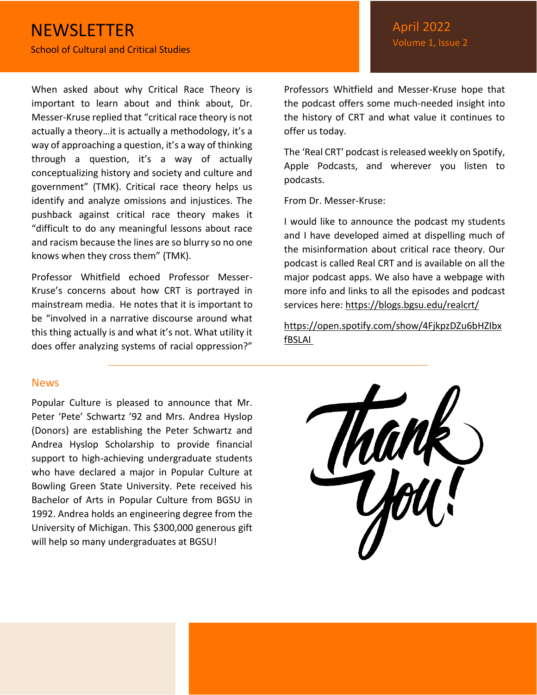When asked about why Critical Race Theory is important to learn about and think about, Dr. Messer-Kruse replied that "critical race theory is not actually a theory…it is actually a methodology, it's a way of approaching a question, it's a way of thinking through a question, it's a way of actually conceptualizing history and society and culture and government" (TMK). Critical race theory helps us identify and analyze omissions and injustices. The pushback against critical race theory makes it "difficult to do any meaningful lessons about race and racism because the lines are so blurry so no one knows when they cross them" (TMK).

Professor Whitfield echoed Professor Messer-Kruse's concerns about how CRT is portrayed in mainstream media. He notes that it is important to be "involved in a narrative discourse around what this thing actually is and what it's not. What utility it does offer analyzing systems of racial oppression?"

### <span id="page-1-0"></span>**News**

Popular Culture is pleased to announce that Mr. Peter 'Pete' Schwartz '92 and Mrs. Andrea Hyslop (Donors) are establishing the Peter Schwartz and Andrea Hyslop Scholarship to provide financial support to high-achieving undergraduate students who have declared a major in Popular Culture at Bowling Green State University. Pete received his Bachelor of Arts in Popular Culture from BGSU in 1992. Andrea holds an engineering degree from the University of Michigan. This \$300,000 generous gift will help so many undergraduates at BGSU!

Professors Whitfield and Messer-Kruse hope that the podcast offers some much-needed insight into the history of CRT and what value it continues to offer us today.

The 'Real CRT' podcast is released weekly on Spotify, Apple Podcasts, and wherever you listen to podcasts.

From Dr. Messer-Kruse:

I would like to announce the podcast my students and I have developed aimed at dispelling much of the misinformation about critical race theory. Our podcast is called Real CRT and is available on all the major podcast apps. We also have a webpage with more info and links to all the episodes and podcast services here: <https://blogs.bgsu.edu/realcrt/>

[https://open.spotify.com/show/4FjkpzDZu6bHZIbx](https://nam02.safelinks.protection.outlook.com/?url=https%3A%2F%2Fopen.spotify.com%2Fshow%2F4FjkpzDZu6bHZIbxfBSLAI&data=04%7C01%7Ctaurora%40bgsu.edu%7Cb7e90c021faf43a1f8aa08d9e2875f71%7Ccdcb729d51064d7cb75ba30c455d5b0a%7C1%7C0%7C637789893337013710%7CUnknown%7CTWFpbGZsb3d8eyJWIjoiMC4wLjAwMDAiLCJQIjoiV2luMzIiLCJBTiI6Ik1haWwiLCJXVCI6Mn0%3D%7C3000&sdata=%2FLRrYXlnfG8tsGI12%2B5EnFAUMHZ5d6rObD4Vxk163V4%3D&reserved=0) [fBSLAI](https://nam02.safelinks.protection.outlook.com/?url=https%3A%2F%2Fopen.spotify.com%2Fshow%2F4FjkpzDZu6bHZIbxfBSLAI&data=04%7C01%7Ctaurora%40bgsu.edu%7Cb7e90c021faf43a1f8aa08d9e2875f71%7Ccdcb729d51064d7cb75ba30c455d5b0a%7C1%7C0%7C637789893337013710%7CUnknown%7CTWFpbGZsb3d8eyJWIjoiMC4wLjAwMDAiLCJQIjoiV2luMzIiLCJBTiI6Ik1haWwiLCJXVCI6Mn0%3D%7C3000&sdata=%2FLRrYXlnfG8tsGI12%2B5EnFAUMHZ5d6rObD4Vxk163V4%3D&reserved=0)

| Thank |  |
|-------|--|
|       |  |
| You!  |  |
|       |  |
|       |  |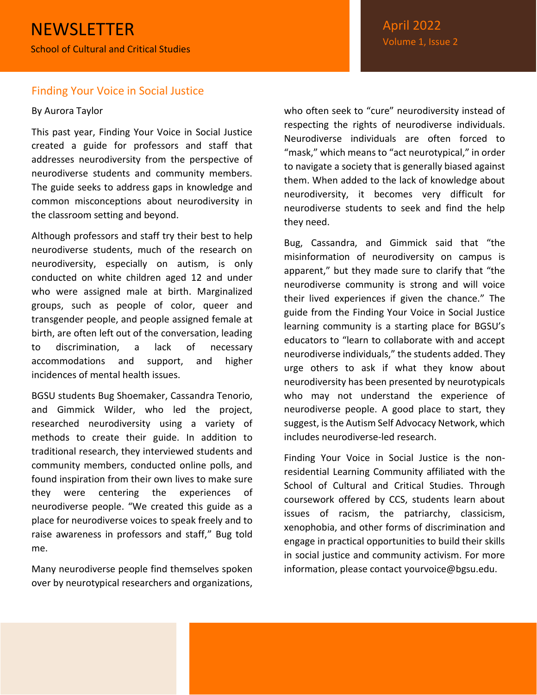#### <span id="page-2-0"></span>Finding Your Voice in Social Justice

#### By Aurora Taylor

This past year, Finding Your Voice in Social Justice created a guide for professors and staff that addresses neurodiversity from the perspective of neurodiverse students and community members. The guide seeks to address gaps in knowledge and common misconceptions about neurodiversity in the classroom setting and beyond.

Although professors and staff try their best to help neurodiverse students, much of the research on neurodiversity, especially on autism, is only conducted on white children aged 12 and under who were assigned male at birth. Marginalized groups, such as people of color, queer and transgender people, and people assigned female at birth, are often left out of the conversation, leading to discrimination, a lack of necessary accommodations and support, and higher incidences of mental health issues.

BGSU students Bug Shoemaker, Cassandra Tenorio, and Gimmick Wilder, who led the project, researched neurodiversity using a variety of methods to create their guide. In addition to traditional research, they interviewed students and community members, conducted online polls, and found inspiration from their own lives to make sure they were centering the experiences of neurodiverse people. "We created this guide as a place for neurodiverse voices to speak freely and to raise awareness in professors and staff," Bug told me.

Many neurodiverse people find themselves spoken over by neurotypical researchers and organizations,

who often seek to "cure" neurodiversity instead of respecting the rights of neurodiverse individuals. Neurodiverse individuals are often forced to "mask," which means to "act neurotypical," in order to navigate a society that is generally biased against them. When added to the lack of knowledge about neurodiversity, it becomes very difficult for neurodiverse students to seek and find the help they need.

Bug, Cassandra, and Gimmick said that "the misinformation of neurodiversity on campus is apparent," but they made sure to clarify that "the neurodiverse community is strong and will voice their lived experiences if given the chance." The guide from the Finding Your Voice in Social Justice learning community is a starting place for BGSU's educators to "learn to collaborate with and accept neurodiverse individuals," the students added. They urge others to ask if what they know about neurodiversity has been presented by neurotypicals who may not understand the experience of neurodiverse people. A good place to start, they suggest, is the Autism Self Advocacy Network, which includes neurodiverse-led research.

Finding Your Voice in Social Justice is the nonresidential Learning Community affiliated with the School of Cultural and Critical Studies. Through coursework offered by CCS, students learn about issues of racism, the patriarchy, classicism, xenophobia, and other forms of discrimination and engage in practical opportunities to build their skills in social justice and community activism. For more information, please contact yourvoice@bgsu.edu.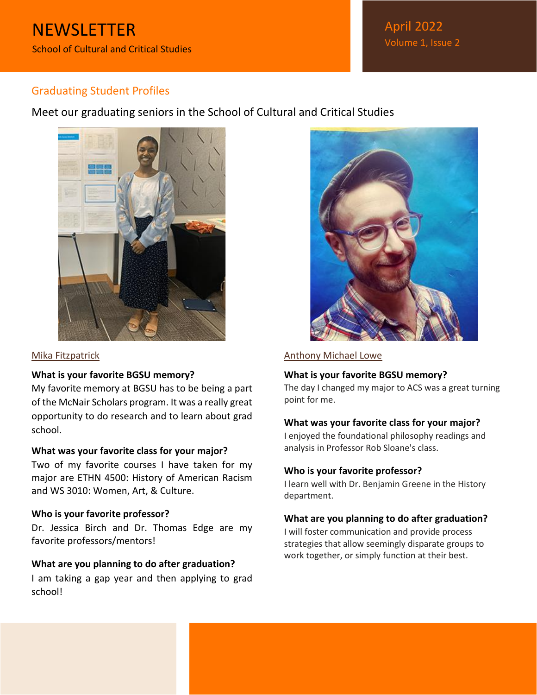April 2022 Volume 1, Issue 2

# <span id="page-3-0"></span>Graduating Student Profiles

Meet our graduating seniors in the School of Cultural and Critical Studies



#### <span id="page-3-1"></span>Mika Fitzpatrick

#### **What is your favorite BGSU memory?**

My favorite memory at BGSU has to be being a part of the McNair Scholars program. It was a really great opportunity to do research and to learn about grad school.

#### **What was your favorite class for your major?**

Two of my favorite courses I have taken for my major are ETHN 4500: History of American Racism and WS 3010: Women, Art, & Culture.

#### **Who is your favorite professor?**

Dr. Jessica Birch and Dr. Thomas Edge are my favorite professors/mentors!

#### **What are you planning to do after graduation?**

I am taking a gap year and then applying to grad school!



#### <span id="page-3-2"></span>Anthony Michael Lowe

#### **What is your favorite BGSU memory?**

The day I changed my major to ACS was a great turning point for me.

#### **What was your favorite class for your major?**

I enjoyed the foundational philosophy readings and analysis in Professor Rob Sloane's class.

#### **Who is your favorite professor?**

I learn well with Dr. Benjamin Greene in the History department.

#### **What are you planning to do after graduation?**

I will foster communication and provide process strategies that allow seemingly disparate groups to work together, or simply function at their best.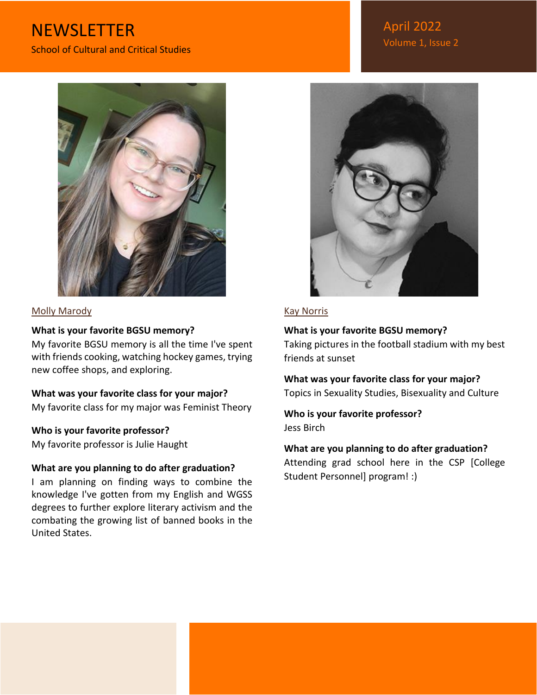# **NEWSLETTER** School of Cultural and Critical Studies



#### <span id="page-4-0"></span>Molly Marody

#### **What is your favorite BGSU memory?**

My favorite BGSU memory is all the time I've spent with friends cooking, watching hockey games, trying new coffee shops, and exploring.

**What was your favorite class for your major?** My favorite class for my major was Feminist Theory

#### **Who is your favorite professor?**

My favorite professor is Julie Haught

#### **What are you planning to do after graduation?**

I am planning on finding ways to combine the knowledge I've gotten from my English and WGSS degrees to further explore literary activism and the combating the growing list of banned books in the United States.

April 2022 Volume 1, Issue 2



### <span id="page-4-1"></span>Kay Norris

#### **What is your favorite BGSU memory?**

Taking pictures in the football stadium with my best friends at sunset

**What was your favorite class for your major?** Topics in Sexuality Studies, Bisexuality and Culture

**Who is your favorite professor?** Jess Birch

### **What are you planning to do after graduation?**

Attending grad school here in the CSP [College Student Personnel] program! :)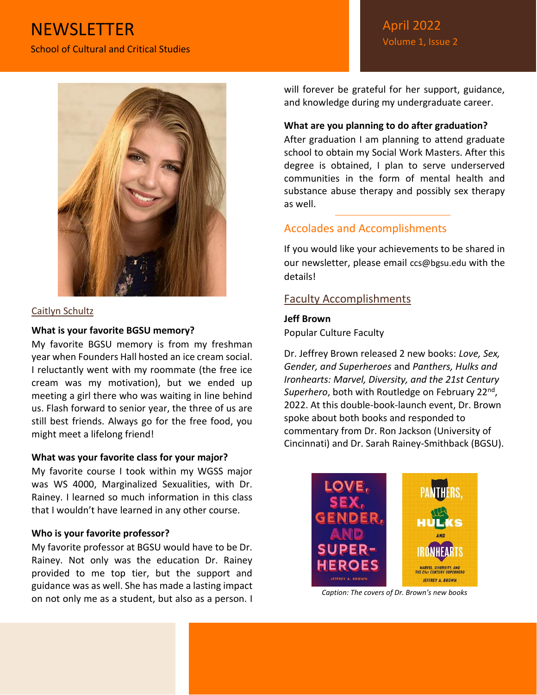# **NEWSLETTER** School of Cultural and Critical Studies



#### <span id="page-5-0"></span>Caitlyn Schultz

#### **What is your favorite BGSU memory?**

My favorite BGSU memory is from my freshman year when Founders Hall hosted an ice cream social. I reluctantly went with my roommate (the free ice cream was my motivation), but we ended up meeting a girl there who was waiting in line behind us. Flash forward to senior year, the three of us are still best friends. Always go for the free food, you might meet a lifelong friend!

#### **What was your favorite class for your major?**

My favorite course I took within my WGSS major was WS 4000, Marginalized Sexualities, with Dr. Rainey. I learned so much information in this class that I wouldn't have learned in any other course.

#### **Who is your favorite professor?**

My favorite professor at BGSU would have to be Dr. Rainey. Not only was the education Dr. Rainey provided to me top tier, but the support and guidance was as well. She has made a lasting impact on not only me as a student, but also as a person. I will forever be grateful for her support, guidance, and knowledge during my undergraduate career.

#### **What are you planning to do after graduation?**

After graduation I am planning to attend graduate school to obtain my Social Work Masters. After this degree is obtained, I plan to serve underserved communities in the form of mental health and substance abuse therapy and possibly sex therapy as well.

# <span id="page-5-1"></span>Accolades and Accomplishments

If you would like your achievements to be shared in our newsletter, please email ccs@bgsu.edu with the details!

### <span id="page-5-2"></span>Faculty Accomplishments

#### **Jeff Brown**

Popular Culture Faculty

Dr. Jeffrey Brown released 2 new books: *Love, Sex, Gender, and Superheroes* and *Panthers, Hulks and Ironhearts: Marvel, Diversity, and the 21st Century*  Superhero, both with Routledge on February 22<sup>nd</sup>, 2022. At this double-book-launch event, Dr. Brown spoke about both books and responded to commentary from Dr. Ron Jackson (University of Cincinnati) and Dr. Sarah Rainey-Smithback (BGSU).



*Caption: The covers of Dr. Brown's new books*

# April 2022 Volume 1, Issue 2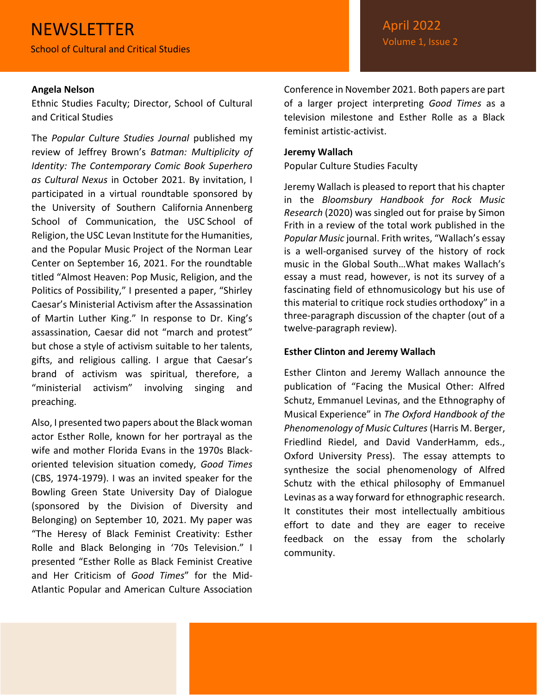#### **Angela Nelson**

Ethnic Studies Faculty; Director, School of Cultural and Critical Studies

The *Popular Culture Studies Journal* published my review of Jeffrey Brown's *Batman: Multiplicity of Identity: The Contemporary Comic Book Superhero as Cultural Nexus* in October 2021. By invitation, I participated in a virtual roundtable sponsored by the University of Southern California Annenberg School of Communication, the USC School of Religion, the USC Levan Institute for the Humanities, and the Popular Music Project of the Norman Lear Center on September 16, 2021. For the roundtable titled "Almost Heaven: Pop Music, Religion, and the Politics of Possibility," I presented a paper, "Shirley Caesar's Ministerial Activism after the Assassination of Martin Luther King." In response to Dr. King's assassination, Caesar did not "march and protest" but chose a style of activism suitable to her talents, gifts, and religious calling. I argue that Caesar's brand of activism was spiritual, therefore, a "ministerial activism" involving singing and preaching.

Also, I presented two papers about the Black woman actor Esther Rolle, known for her portrayal as the wife and mother Florida Evans in the 1970s Blackoriented television situation comedy, *Good Times* (CBS, 1974-1979). I was an invited speaker for the Bowling Green State University Day of Dialogue (sponsored by the Division of Diversity and Belonging) on September 10, 2021. My paper was "The Heresy of Black Feminist Creativity: Esther Rolle and Black Belonging in '70s Television." I presented "Esther Rolle as Black Feminist Creative and Her Criticism of *Good Times*" for the Mid-Atlantic Popular and American Culture Association

Conference in November 2021. Both papers are part of a larger project interpreting *Good Times* as a television milestone and Esther Rolle as a Black feminist artistic-activist.

#### **Jeremy Wallach**

Popular Culture Studies Faculty

Jeremy Wallach is pleased to report that his chapter in the *Bloomsbury Handbook for Rock Music Research* (2020) was singled out for praise by Simon Frith in a review of the total work published in the *Popular Music* journal. Frith writes, "Wallach's essay is a well-organised survey of the history of rock music in the Global South…What makes Wallach's essay a must read, however, is not its survey of a fascinating field of ethnomusicology but his use of this material to critique rock studies orthodoxy" in a three-paragraph discussion of the chapter (out of a twelve-paragraph review).

#### **Esther Clinton and Jeremy Wallach**

Esther Clinton and Jeremy Wallach announce the publication of "Facing the Musical Other: Alfred Schutz, Emmanuel Levinas, and the Ethnography of Musical Experience" in *The Oxford Handbook of the Phenomenology of Music Cultures* (Harris M. Berger, Friedlind Riedel, and David VanderHamm, eds., Oxford University Press). The essay attempts to synthesize the social phenomenology of Alfred Schutz with the ethical philosophy of Emmanuel Levinas as a way forward for ethnographic research. It constitutes their most intellectually ambitious effort to date and they are eager to receive feedback on the essay from the scholarly community.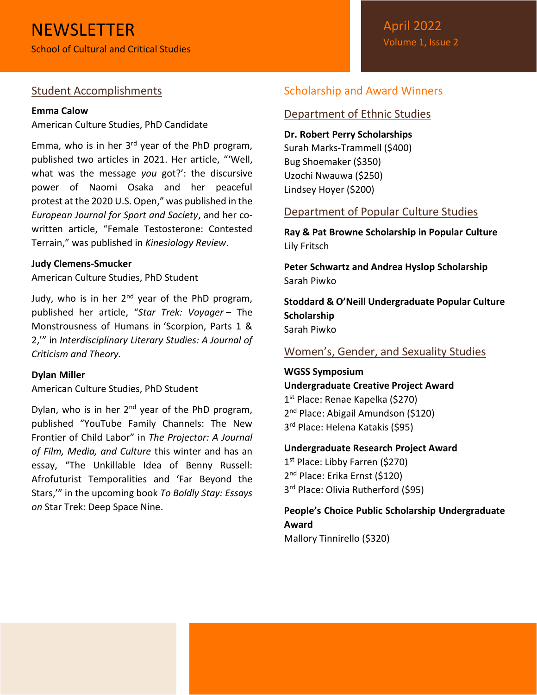# <span id="page-7-0"></span>Student Accomplishments

#### **Emma Calow**

American Culture Studies, PhD Candidate

Emma, who is in her  $3<sup>rd</sup>$  year of the PhD program, published two articles in 2021. Her article, "'Well, what was the message *you* got?': the discursive power of Naomi Osaka and her peaceful protest at the 2020 U.S. Open," was published in the *European Journal for Sport and Society*, and her cowritten article, "Female Testosterone: Contested Terrain," was published in *Kinesiology Review*.

#### **Judy Clemens-Smucker**

American Culture Studies, PhD Student

Judy, who is in her  $2<sup>nd</sup>$  year of the PhD program, published her article, "*Star Trek: Voyager* – The Monstrousness of Humans in 'Scorpion, Parts 1 & 2,'" in *Interdisciplinary Literary Studies: A Journal of Criticism and Theory.* 

#### **Dylan Miller**

American Culture Studies, PhD Student

Dylan, who is in her  $2^{nd}$  year of the PhD program, published "YouTube Family Channels: The New Frontier of Child Labor" in *The Projector: A Journal of Film, Media, and Culture* this winter and has an essay, "The Unkillable Idea of Benny Russell: Afrofuturist Temporalities and 'Far Beyond the Stars,'" in the upcoming book *To Boldly Stay: Essays on* Star Trek: Deep Space Nine.

# <span id="page-7-1"></span>Scholarship and Award Winners

#### <span id="page-7-2"></span>Department of Ethnic Studies

**Dr. Robert Perry Scholarships** Surah Marks-Trammell (\$400) Bug Shoemaker (\$350) Uzochi Nwauwa (\$250) Lindsey Hoyer (\$200)

# <span id="page-7-3"></span>Department of Popular Culture Studies

**Ray & Pat Browne Scholarship in Popular Culture** Lily Fritsch

**Peter Schwartz and Andrea Hyslop Scholarship** Sarah Piwko

**Stoddard & O'Neill Undergraduate Popular Culture Scholarship** Sarah Piwko

<span id="page-7-4"></span>Women's, Gender, and Sexuality Studies

**WGSS Symposium Undergraduate Creative Project Award** 1 st Place: Renae Kapelka (\$270) 2<sup>nd</sup> Place: Abigail Amundson (\$120) 3 rd Place: Helena Katakis (\$95)

**Undergraduate Research Project Award** 1 st Place: Libby Farren (\$270)

2<sup>nd</sup> Place: Erika Ernst (\$120) 3<sup>rd</sup> Place: Olivia Rutherford (\$95)

**People's Choice Public Scholarship Undergraduate Award**

Mallory Tinnirello (\$320)